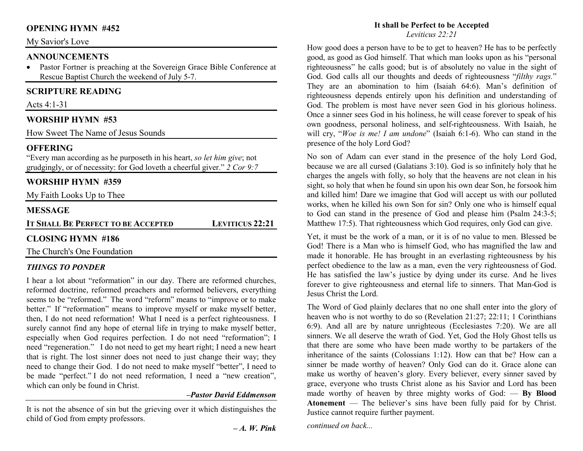### **OPENING HYMN #452**

#### My Savior's Love

#### **ANNOUNCEMENTS**

 • Pastor Fortner is preaching at the Sovereign Grace Bible Conference at Rescue Baptist Church the weekend of July 5-7.

### **SCRIPTURE READING**

Acts 4:1-31

#### **WORSHIP HYMN #53**

How Sweet The Name of Jesus Sounds

#### **OFFERING**

 "Every man according as he purposeth in his heart, *so let him give*; not grudgingly, or of necessity: for God loveth a cheerful giver." *2 Cor 9:7*

### **WORSHIP HYMN #359**

My Faith Looks Up to Thee

#### **MESSAGE**

**IT SHALL BE PERFECT TO BE LEVITICUS 22:21** 

### **CLOSING HYMN #186**

The Church's One Foundation

#### *THINGS TO PONDER*

I hear a lot about "reformation" in our day. There are reformed churches, reformed doctrine, reformed preachers and reformed believers, everything seems to be "reformed." The word "reform" means to "improve or to make better." If "reformation" means to improve myself or make myself better, then, I do not need reformation! What I need is a perfect righteousness. I surely cannot find any hope of eternal life in trying to make myself better, especially when God requires perfection. I do not need "reformation"; I need "regeneration." I do not need to get my heart right; I need a new heart that is right. The lost sinner does not need to just change their way; they need to change their God. I do not need to make myself "better", I need to be made "perfect." I do not need reformation, I need a "new creation", which can only be found in Christ.

#### *–Pastor David Eddmenson*

It is not the absence of sin but the grieving over it which distinguishes the child of God from empty professors.

#### **It shall be Perfect to be Accepted***Leviticus 22:21*

How good does a person have to be to get to heaven? He has to be perfectly good, as good as God himself. That which man looks upon as his "personal righteousness" he calls good; but is of absolutely no value in the sight of God. God calls all our thoughts and deeds of righteousness "*filthy rags.*" They are an abomination to him (Isaiah 64:6). Man's definition of righteousness depends entirely upon his definition and understanding of God. The problem is most have never seen God in his glorious holiness. Once a sinner sees God in his holiness, he will cease forever to speak of his own goodness, personal holiness, and self-righteousness. With Isaiah, he will cry, "*Woe is me! I am undone*" (Isaiah 6:1-6). Who can stand in the presence of the holy Lord God?

No son of Adam can ever stand in the presence of the holy Lord God, because we are all cursed (Galatians 3:10). God is so infinitely holy that he charges the angels with folly, so holy that the heavens are not clean in his sight, so holy that when he found sin upon his own dear Son, he forsook him and killed him! Dare we imagine that God will accept us with our polluted works, when he killed his own Son for sin? Only one who is himself equal to God can stand in the presence of God and please him (Psalm 24:3-5; Matthew 17:5). That righteousness which God requires, only God can give.

Yet, it must be the work of a man, or it is of no value to men. Blessed be God! There is a Man who is himself God, who has magnified the law and made it honorable. He has brought in an everlasting righteousness by his perfect obedience to the law as a man, even the very righteousness of God. He has satisfied the law's justice by dying under its curse. And he lives forever to give righteousness and eternal life to sinners. That Man-God is Jesus Christ the Lord.

The Word of God plainly declares that no one shall enter into the glory of heaven who is not worthy to do so (Revelation 21:27; 22:11; 1 Corinthians 6:9). And all are by nature unrighteous (Ecclesiastes 7:20). We are all sinners. We all deserve the wrath of God. Yet, God the Holy Ghost tells us that there are some who have been made worthy to be partakers of the inheritance of the saints (Colossians 1:12). How can that be? How can a sinner be made worthy of heaven? Only God can do it. Grace alone can make us worthy of heaven's glory. Every believer, every sinner saved by grace, everyone who trusts Christ alone as his Savior and Lord has been made worthy of heaven by three mighty works of God: — **By Blood Atonement** — The believer's sins have been fully paid for by Christ. Justice cannot require further payment.

*continued on back...*